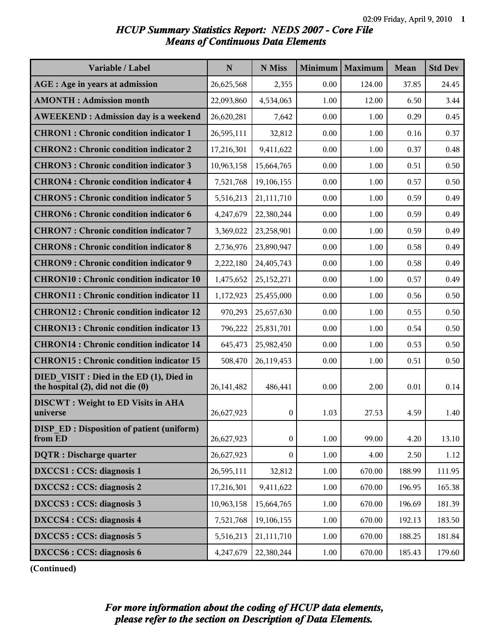## *HCUP Summary Statistics Report: NEDS 2007 - Core File Means of Continuous Data Elements*

| Variable / Label                                                              | $\mathbf N$  | N Miss           | Minimum  | Maximum  | <b>Mean</b> | <b>Std Dev</b> |
|-------------------------------------------------------------------------------|--------------|------------------|----------|----------|-------------|----------------|
| <b>AGE</b> : Age in years at admission                                        | 26,625,568   | 2,355            | 0.00     | 124.00   | 37.85       | 24.45          |
| <b>AMONTH: Admission month</b>                                                | 22,093,860   | 4,534,063        | 1.00     | 12.00    | 6.50        | 3.44           |
| <b>AWEEKEND: Admission day is a weekend</b>                                   | 26,620,281   | 7,642            | 0.00     | 1.00     | 0.29        | 0.45           |
| <b>CHRON1</b> : Chronic condition indicator 1                                 | 26,595,111   | 32,812           | 0.00     | 1.00     | 0.16        | 0.37           |
| <b>CHRON2: Chronic condition indicator 2</b>                                  | 17,216,301   | 9,411,622        | 0.00     | 1.00     | 0.37        | 0.48           |
| <b>CHRON3: Chronic condition indicator 3</b>                                  | 10,963,158   | 15,664,765       | 0.00     | 1.00     | 0.51        | 0.50           |
| <b>CHRON4: Chronic condition indicator 4</b>                                  | 7,521,768    | 19,106,155       | 0.00     | 1.00     | 0.57        | 0.50           |
| <b>CHRON5: Chronic condition indicator 5</b>                                  | 5,516,213    | 21,111,710       | 0.00     | 1.00     | 0.59        | 0.49           |
| <b>CHRON6: Chronic condition indicator 6</b>                                  | 4,247,679    | 22,380,244       | 0.00     | 1.00     | 0.59        | 0.49           |
| <b>CHRON7: Chronic condition indicator 7</b>                                  | 3,369,022    | 23,258,901       | 0.00     | 1.00     | 0.59        | 0.49           |
| <b>CHRON8</b> : Chronic condition indicator 8                                 | 2,736,976    | 23,890,947       | 0.00     | 1.00     | 0.58        | 0.49           |
| <b>CHRON9: Chronic condition indicator 9</b>                                  | 2,222,180    | 24,405,743       | 0.00     | 1.00     | 0.58        | 0.49           |
| <b>CHRON10: Chronic condition indicator 10</b>                                | 1,475,652    | 25,152,271       | 0.00     | 1.00     | 0.57        | 0.49           |
| <b>CHRON11: Chronic condition indicator 11</b>                                | 1,172,923    | 25,455,000       | 0.00     | 1.00     | 0.56        | 0.50           |
| <b>CHRON12: Chronic condition indicator 12</b>                                | 970,293      | 25,657,630       | 0.00     | 1.00     | 0.55        | 0.50           |
| <b>CHRON13: Chronic condition indicator 13</b>                                | 796,222      | 25,831,701       | 0.00     | 1.00     | 0.54        | 0.50           |
| <b>CHRON14 : Chronic condition indicator 14</b>                               | 645,473      | 25,982,450       | 0.00     | $1.00\,$ | 0.53        | 0.50           |
| <b>CHRON15: Chronic condition indicator 15</b>                                | 508,470      | 26,119,453       | 0.00     | 1.00     | 0.51        | 0.50           |
| DIED VISIT : Died in the ED (1), Died in<br>the hospital (2), did not die (0) | 26, 141, 482 | 486,441          | 0.00     | 2.00     | 0.01        | 0.14           |
| <b>DISCWT</b> : Weight to ED Visits in AHA<br>universe                        | 26,627,923   | $\boldsymbol{0}$ | 1.03     | 27.53    | 4.59        | 1.40           |
| <b>DISP ED: Disposition of patient (uniform)</b><br>from ED                   | 26,627,923   | $\boldsymbol{0}$ | 1.00     | 99.00    | 4.20        | 13.10          |
| <b>DQTR</b> : Discharge quarter                                               | 26,627,923   | 0                | 1.00     | 4.00     | 2.50        | 1.12           |
| DXCCS1 : CCS: diagnosis 1                                                     | 26,595,111   | 32,812           | 1.00     | 670.00   | 188.99      | 111.95         |
| DXCCS2 : CCS: diagnosis 2                                                     | 17,216,301   | 9,411,622        | 1.00     | 670.00   | 196.95      | 165.38         |
| DXCCS3 : CCS: diagnosis 3                                                     | 10,963,158   | 15,664,765       | 1.00     | 670.00   | 196.69      | 181.39         |
| <b>DXCCS4</b> : CCS: diagnosis 4                                              | 7,521,768    | 19,106,155       | 1.00     | 670.00   | 192.13      | 183.50         |
| DXCCS5 : CCS: diagnosis 5                                                     | 5,516,213    | 21,111,710       | 1.00     | 670.00   | 188.25      | 181.84         |
| DXCCS6 : CCS: diagnosis 6                                                     | 4,247,679    | 22,380,244       | $1.00\,$ | 670.00   | 185.43      | 179.60         |

**(Continued)**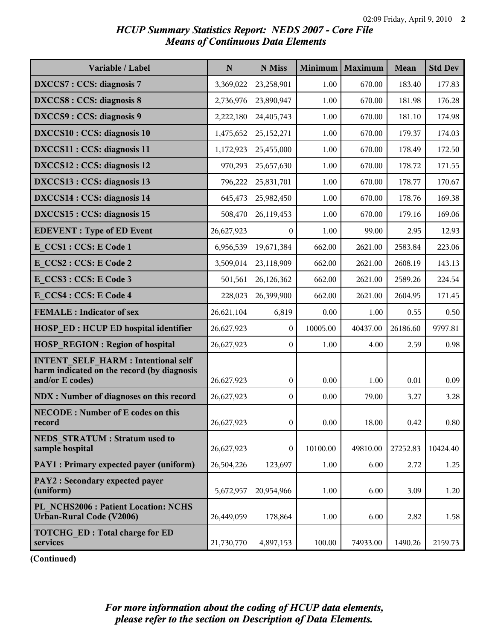# *HCUP Summary Statistics Report: NEDS 2007 - Core File Means of Continuous Data Elements*

| Variable / Label                                                                                           | $\mathbf N$ | N Miss           | Minimum  | Maximum  | <b>Mean</b> | <b>Std Dev</b> |
|------------------------------------------------------------------------------------------------------------|-------------|------------------|----------|----------|-------------|----------------|
| <b>DXCCS7: CCS: diagnosis 7</b>                                                                            | 3,369,022   | 23,258,901       | 1.00     | 670.00   | 183.40      | 177.83         |
| <b>DXCCS8: CCS: diagnosis 8</b>                                                                            | 2,736,976   | 23,890,947       | 1.00     | 670.00   | 181.98      | 176.28         |
| DXCCS9: CCS: diagnosis 9                                                                                   | 2,222,180   | 24,405,743       | 1.00     | 670.00   | 181.10      | 174.98         |
| DXCCS10 : CCS: diagnosis 10                                                                                | 1,475,652   | 25, 152, 271     | 1.00     | 670.00   | 179.37      | 174.03         |
| DXCCS11 : CCS: diagnosis 11                                                                                | 1,172,923   | 25,455,000       | 1.00     | 670.00   | 178.49      | 172.50         |
| DXCCS12 : CCS: diagnosis 12                                                                                | 970,293     | 25,657,630       | 1.00     | 670.00   | 178.72      | 171.55         |
| DXCCS13 : CCS: diagnosis 13                                                                                | 796,222     | 25,831,701       | 1.00     | 670.00   | 178.77      | 170.67         |
| DXCCS14 : CCS: diagnosis 14                                                                                | 645,473     | 25,982,450       | 1.00     | 670.00   | 178.76      | 169.38         |
| DXCCS15 : CCS: diagnosis 15                                                                                | 508,470     | 26,119,453       | 1.00     | 670.00   | 179.16      | 169.06         |
| <b>EDEVENT</b> : Type of ED Event                                                                          | 26,627,923  | $\theta$         | 1.00     | 99.00    | 2.95        | 12.93          |
| E CCS1 : CCS: E Code 1                                                                                     | 6,956,539   | 19,671,384       | 662.00   | 2621.00  | 2583.84     | 223.06         |
| E CCS2: CCS: E Code 2                                                                                      | 3,509,014   | 23,118,909       | 662.00   | 2621.00  | 2608.19     | 143.13         |
| E CCS3 : CCS: E Code 3                                                                                     | 501,561     | 26,126,362       | 662.00   | 2621.00  | 2589.26     | 224.54         |
| E CCS4 : CCS: E Code 4                                                                                     | 228,023     | 26,399,900       | 662.00   | 2621.00  | 2604.95     | 171.45         |
| <b>FEMALE</b> : Indicator of sex                                                                           | 26,621,104  | 6,819            | 0.00     | 1.00     | 0.55        | 0.50           |
| <b>HOSP ED: HCUP ED hospital identifier</b>                                                                | 26,627,923  | $\theta$         | 10005.00 | 40437.00 | 26186.60    | 9797.81        |
| <b>HOSP REGION: Region of hospital</b>                                                                     | 26,627,923  | $\boldsymbol{0}$ | 1.00     | 4.00     | 2.59        | 0.98           |
| <b>INTENT SELF HARM: Intentional self</b><br>harm indicated on the record (by diagnosis<br>and/or E codes) | 26,627,923  | $\boldsymbol{0}$ | 0.00     | 1.00     | 0.01        | 0.09           |
| NDX : Number of diagnoses on this record                                                                   | 26,627,923  | $\boldsymbol{0}$ | 0.00     | 79.00    | 3.27        | 3.28           |
| <b>NECODE: Number of E codes on this</b><br>record                                                         | 26,627,923  | $\boldsymbol{0}$ | 0.00     | 18.00    | 0.42        | 0.80           |
| <b>NEDS STRATUM: Stratum used to</b><br>sample hospital                                                    | 26,627,923  | 0                | 10100.00 | 49810.00 | 27252.83    | 10424.40       |
| PAY1 : Primary expected payer (uniform)                                                                    | 26,504,226  | 123,697          | 1.00     | 6.00     | 2.72        | 1.25           |
| PAY2 : Secondary expected payer<br>(uniform)                                                               | 5,672,957   | 20,954,966       | 1.00     | 6.00     | 3.09        | 1.20           |
| PL NCHS2006 : Patient Location: NCHS<br><b>Urban-Rural Code (V2006)</b>                                    | 26,449,059  | 178,864          | 1.00     | 6.00     | 2.82        | 1.58           |
| <b>TOTCHG ED: Total charge for ED</b><br>services                                                          | 21,730,770  | 4,897,153        | 100.00   | 74933.00 | 1490.26     | 2159.73        |

**(Continued)**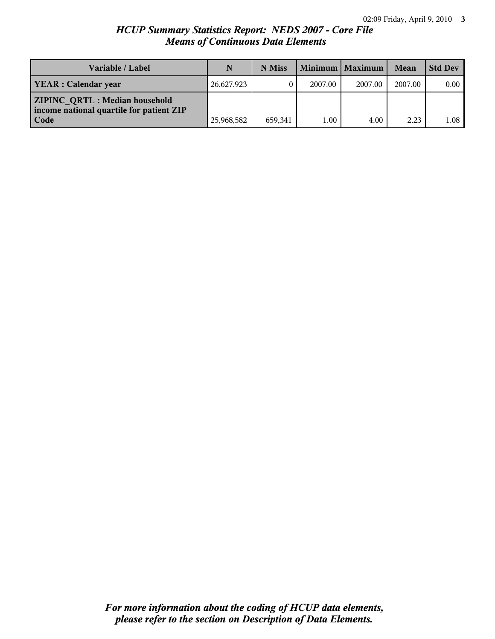## *HCUP Summary Statistics Report: NEDS 2007 - Core File Means of Continuous Data Elements*

| <b>Variable / Label</b>                                                                  | N          | N Miss  |          | Minimum   Maximum | Mean    | <b>Std Dev</b> |
|------------------------------------------------------------------------------------------|------------|---------|----------|-------------------|---------|----------------|
| <b>YEAR</b> : Calendar year                                                              | 26,627,923 |         | 2007.00  | 2007.00           | 2007.00 | $0.00-1$       |
| <b>ZIPINC QRTL: Median household</b><br>income national quartile for patient ZIP<br>Code | 25,968,582 | 659.341 | $1.00\,$ | 4.00              | 2.23    | 1.08           |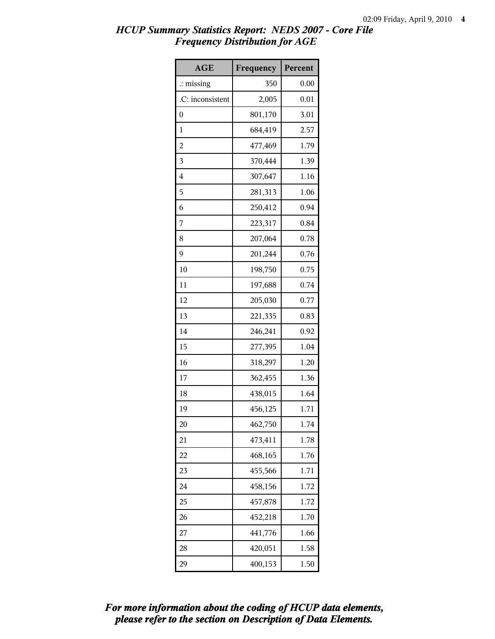| <b>AGE</b>           | Frequency | Percent |
|----------------------|-----------|---------|
| $\therefore$ missing | 350       | 0.00    |
| .C: inconsistent     | 2,005     | 0.01    |
| $\boldsymbol{0}$     | 801,170   | 3.01    |
| 1                    | 684,419   | 2.57    |
| $\overline{c}$       | 477,469   | 1.79    |
| 3                    | 370,444   | 1.39    |
| 4                    | 307,647   | 1.16    |
| 5                    | 281,313   | 1.06    |
| 6                    | 250,412   | 0.94    |
| 7                    | 223,317   | 0.84    |
| 8                    | 207,064   | 0.78    |
| 9                    | 201,244   | 0.76    |
| 10                   | 198,750   | 0.75    |
| 11                   | 197,688   | 0.74    |
| 12                   | 205,030   | 0.77    |
| 13                   | 221,335   | 0.83    |
| 14                   | 246,241   | 0.92    |
| 15                   | 277,395   | 1.04    |
| 16                   | 318,297   | 1.20    |
| 17                   | 362,455   | 1.36    |
| 18                   | 438,015   | 1.64    |
| 19                   | 456,125   | 1.71    |
| 20                   | 462,750   | 1.74    |
| 21                   | 473,411   | 1.78    |
| 22                   | 468,165   | 1.76    |
| 23                   | 455,566   | 1.71    |
| 24                   | 458,156   | 1.72    |
| 25                   | 457,878   | 1.72    |
| 26                   | 452,218   | 1.70    |
| 27                   | 441,776   | 1.66    |
| 28                   | 420,051   | 1.58    |
| 29                   | 400,153   | 1.50    |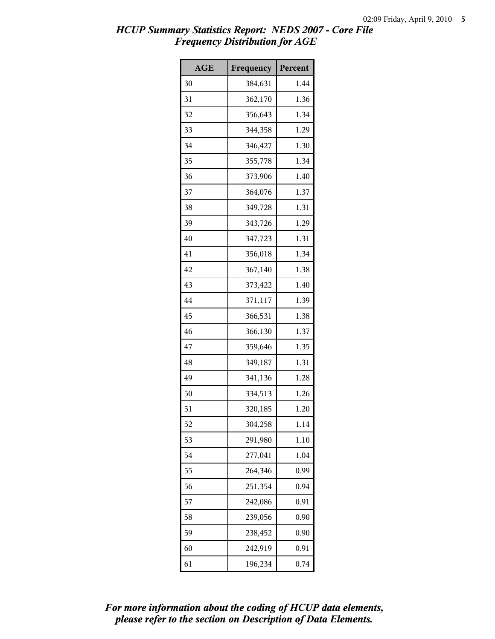| <b>AGE</b> | Frequency | Percent |
|------------|-----------|---------|
| 30         | 384,631   | 1.44    |
| 31         | 362,170   | 1.36    |
| 32         | 356,643   | 1.34    |
| 33         | 344,358   | 1.29    |
| 34         | 346,427   | 1.30    |
| 35         | 355,778   | 1.34    |
| 36         | 373,906   | 1.40    |
| 37         | 364,076   | 1.37    |
| 38         | 349,728   | 1.31    |
| 39         | 343,726   | 1.29    |
| 40         | 347,723   | 1.31    |
| 41         | 356,018   | 1.34    |
| 42         | 367,140   | 1.38    |
| 43         | 373,422   | 1.40    |
| 44         | 371,117   | 1.39    |
| 45         | 366,531   | 1.38    |
| 46         | 366,130   | 1.37    |
| 47         | 359,646   | 1.35    |
| 48         | 349,187   | 1.31    |
| 49         | 341,136   | 1.28    |
| 50         | 334,513   | 1.26    |
| 51         | 320,185   | 1.20    |
| 52         | 304,258   | 1.14    |
| 53         | 291,980   | 1.10    |
| 54         | 277,041   | 1.04    |
| 55         | 264,346   | 0.99    |
| 56         | 251,354   | 0.94    |
| 57         | 242,086   | 0.91    |
| 58         | 239,056   | 0.90    |
| 59         | 238,452   | 0.90    |
| 60         | 242,919   | 0.91    |
| 61         | 196,234   | 0.74    |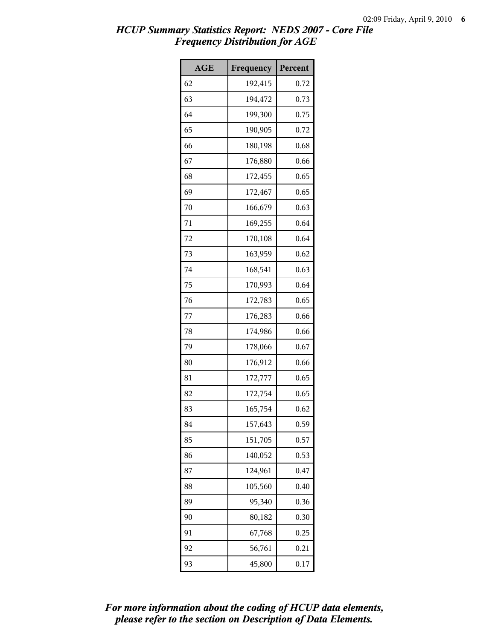| <b>AGE</b> | Frequency | Percent |
|------------|-----------|---------|
| 62         | 192,415   | 0.72    |
| 63         | 194,472   | 0.73    |
| 64         | 199,300   | 0.75    |
| 65         | 190,905   | 0.72    |
| 66         | 180,198   | 0.68    |
| 67         | 176,880   | 0.66    |
| 68         | 172,455   | 0.65    |
| 69         | 172,467   | 0.65    |
| 70         | 166,679   | 0.63    |
| 71         | 169,255   | 0.64    |
| 72         | 170,108   | 0.64    |
| 73         | 163,959   | 0.62    |
| 74         | 168,541   | 0.63    |
| 75         | 170,993   | 0.64    |
| 76         | 172,783   | 0.65    |
| 77         | 176,283   | 0.66    |
| 78         | 174,986   | 0.66    |
| 79         | 178,066   | 0.67    |
| 80         | 176,912   | 0.66    |
| 81         | 172,777   | 0.65    |
| 82         | 172,754   | 0.65    |
| 83         | 165,754   | 0.62    |
| 84         | 157,643   | 0.59    |
| 85         | 151,705   | 0.57    |
| 86         | 140,052   | 0.53    |
| 87         | 124,961   | 0.47    |
| 88         | 105,560   | 0.40    |
| 89         | 95,340    | 0.36    |
| 90         | 80,182    | 0.30    |
| 91         | 67,768    | 0.25    |
| 92         | 56,761    | 0.21    |
| 93         | 45,800    | 0.17    |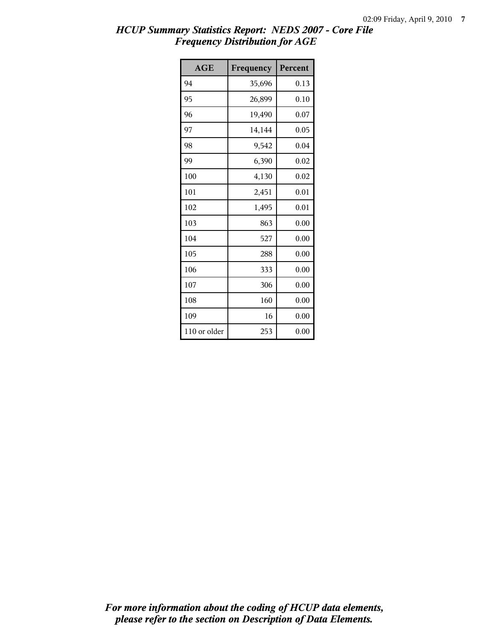| AGE          | Frequency | Percent |
|--------------|-----------|---------|
| 94           | 35,696    | 0.13    |
| 95           | 26,899    | 0.10    |
| 96           | 19,490    | 0.07    |
| 97           | 14,144    | 0.05    |
| 98           | 9,542     | 0.04    |
| 99           | 6,390     | 0.02    |
| 100          | 4,130     | 0.02    |
| 101          | 2,451     | 0.01    |
| 102          | 1,495     | 0.01    |
| 103          | 863       | 0.00    |
| 104          | 527       | 0.00    |
| 105          | 288       | 0.00    |
| 106          | 333       | 0.00    |
| 107          | 306       | 0.00    |
| 108          | 160       | 0.00    |
| 109          | 16        | 0.00    |
| 110 or older | 253       | 0.00    |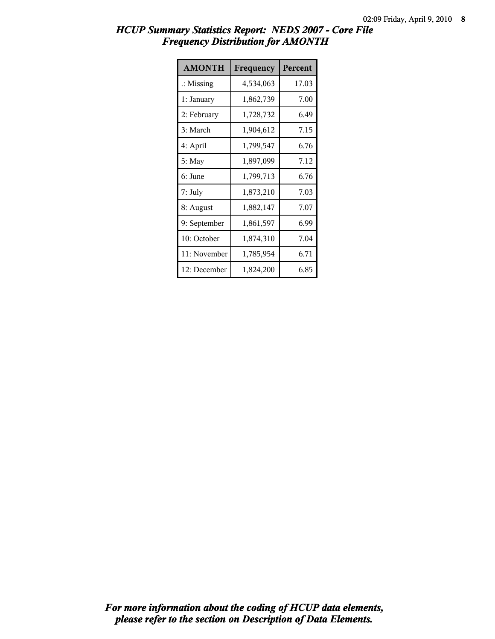| <b>AMONTH</b>        | Frequency | Percent |
|----------------------|-----------|---------|
| $\therefore$ Missing | 4,534,063 | 17.03   |
| 1: January           | 1,862,739 | 7.00    |
| 2: February          | 1,728,732 | 6.49    |
| 3: March             | 1,904,612 | 7.15    |
| 4: April             | 1,799,547 | 6.76    |
| 5: May               | 1,897,099 | 7.12    |
| 6: June              | 1,799,713 | 6.76    |
| 7: July              | 1,873,210 | 7.03    |
| 8: August            | 1,882,147 | 7.07    |
| 9: September         | 1,861,597 | 6.99    |
| 10: October          | 1,874,310 | 7.04    |
| 11: November         | 1,785,954 | 6.71    |
| 12: December         | 1,824,200 | 6.85    |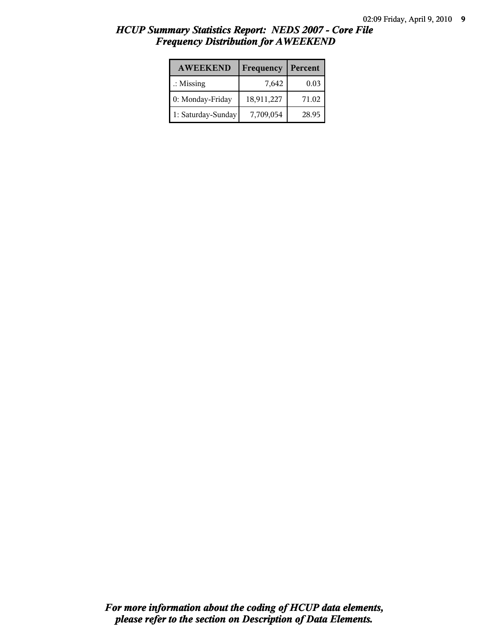| <b>AWEEKEND</b>      | Frequency  | Percent |
|----------------------|------------|---------|
| $\therefore$ Missing | 7,642      | 0.03    |
| 0: Monday-Friday     | 18,911,227 | 71.02   |
| 1: Saturday-Sunday   | 7,709,054  | 28.95   |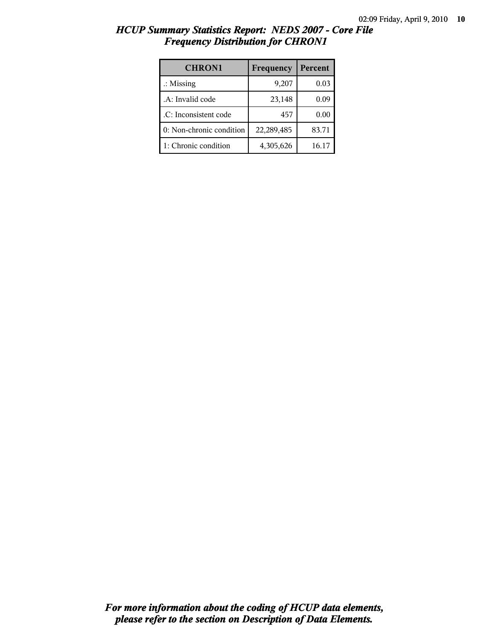| <b>CHRON1</b>            | Frequency  | Percent |
|--------------------------|------------|---------|
| $\therefore$ Missing     | 9,207      | 0.03    |
| .A: Invalid code         | 23,148     | 0.09    |
| .C: Inconsistent code    | 457        | 0.00    |
| 0: Non-chronic condition | 22,289,485 | 83.71   |
| 1: Chronic condition     | 4,305,626  | 16.17   |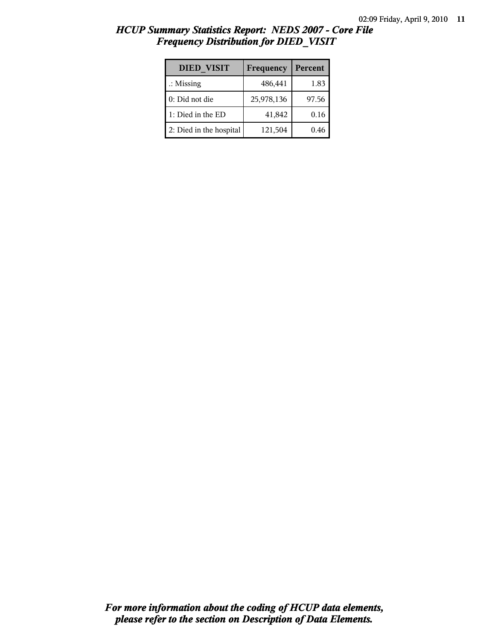| <b>DIED VISIT</b>       | Frequency  | Percent |
|-------------------------|------------|---------|
| $\therefore$ Missing    | 486,441    | 1.83    |
| $0:$ Did not die        | 25,978,136 | 97.56   |
| 1: Died in the ED       | 41,842     | 0.16    |
| 2: Died in the hospital | 121,504    | 0.46    |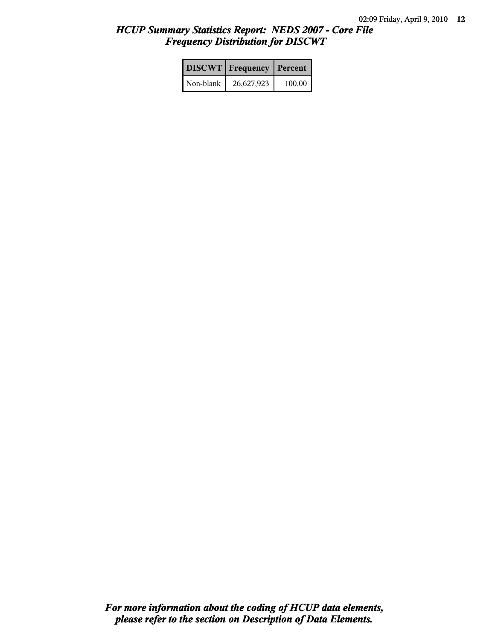|           | <b>DISCWT</b> Frequency | Percent |
|-----------|-------------------------|---------|
| Non-blank | 26,627,923              | 100.00  |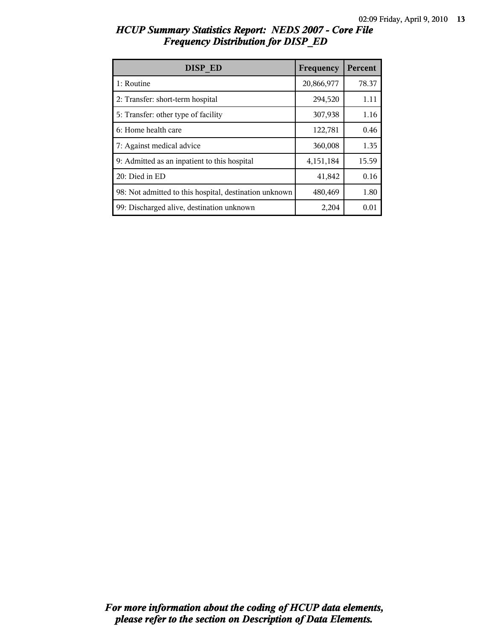| DISP ED                                                | Frequency  | Percent |
|--------------------------------------------------------|------------|---------|
| 1: Routine                                             | 20,866,977 | 78.37   |
| 2: Transfer: short-term hospital                       | 294,520    | 1.11    |
| 5: Transfer: other type of facility                    | 307,938    | 1.16    |
| 6: Home health care                                    | 122,781    | 0.46    |
| 7: Against medical advice                              | 360,008    | 1.35    |
| 9: Admitted as an inpatient to this hospital           | 4,151,184  | 15.59   |
| 20: Died in ED                                         | 41,842     | 0.16    |
| 98: Not admitted to this hospital, destination unknown | 480,469    | 1.80    |
| 99: Discharged alive, destination unknown              | 2,204      | 0.01    |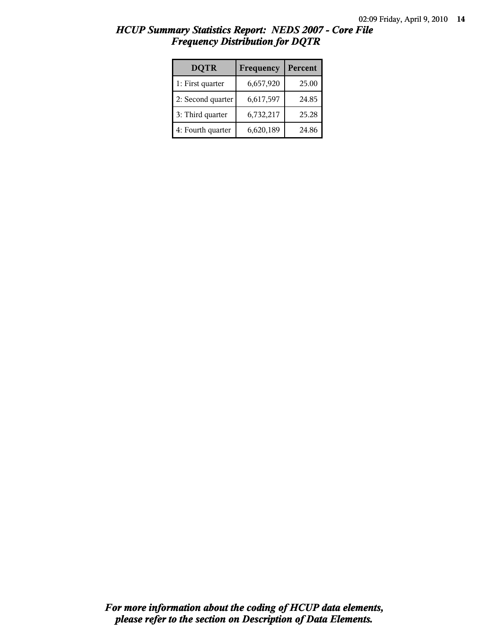| <b>DQTR</b>       | Frequency | Percent |
|-------------------|-----------|---------|
| 1: First quarter  | 6,657,920 | 25.00   |
| 2: Second quarter | 6,617,597 | 24.85   |
| 3: Third quarter  | 6,732,217 | 25.28   |
| 4: Fourth quarter | 6,620,189 | 24.86   |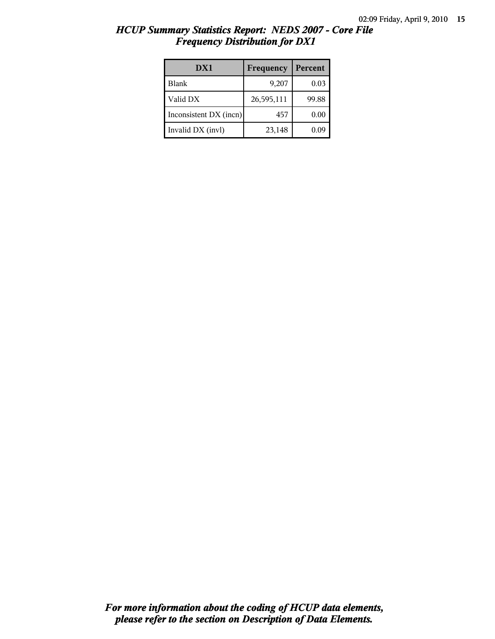| DX1                    | Frequency  | Percent |
|------------------------|------------|---------|
| Blank                  | 9,207      | 0.03    |
| Valid DX               | 26,595,111 | 99.88   |
| Inconsistent DX (incn) | 457        | 0.00    |
| Invalid DX (invl)      | 23,148     | 0.09    |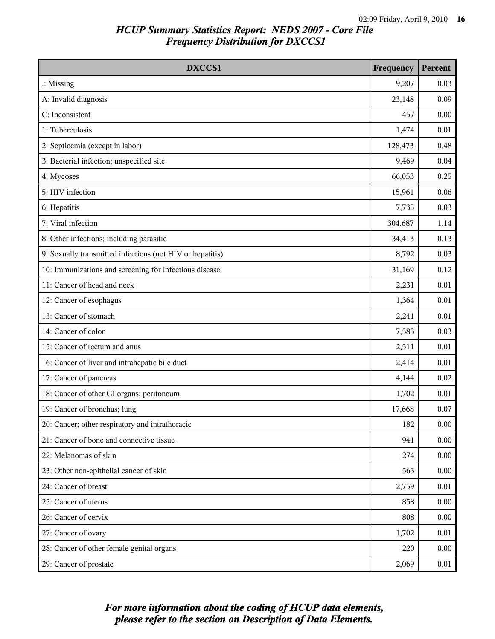| DXCCS1                                                    | Frequency | Percent  |
|-----------------------------------------------------------|-----------|----------|
| $\therefore$ Missing                                      | 9,207     | 0.03     |
| A: Invalid diagnosis                                      | 23,148    | 0.09     |
| C: Inconsistent                                           | 457       | 0.00     |
| 1: Tuberculosis                                           | 1,474     | 0.01     |
| 2: Septicemia (except in labor)                           | 128,473   | 0.48     |
| 3: Bacterial infection; unspecified site                  | 9,469     | 0.04     |
| 4: Mycoses                                                | 66,053    | 0.25     |
| 5: HIV infection                                          | 15,961    | 0.06     |
| 6: Hepatitis                                              | 7,735     | 0.03     |
| 7: Viral infection                                        | 304,687   | 1.14     |
| 8: Other infections; including parasitic                  | 34,413    | 0.13     |
| 9: Sexually transmitted infections (not HIV or hepatitis) | 8,792     | 0.03     |
| 10: Immunizations and screening for infectious disease    | 31,169    | 0.12     |
| 11: Cancer of head and neck                               | 2,231     | 0.01     |
| 12: Cancer of esophagus                                   | 1,364     | 0.01     |
| 13: Cancer of stomach                                     | 2,241     | 0.01     |
| 14: Cancer of colon                                       | 7,583     | 0.03     |
| 15: Cancer of rectum and anus                             | 2,511     | 0.01     |
| 16: Cancer of liver and intrahepatic bile duct            | 2,414     | 0.01     |
| 17: Cancer of pancreas                                    | 4,144     | 0.02     |
| 18: Cancer of other GI organs; peritoneum                 | 1,702     | 0.01     |
| 19: Cancer of bronchus; lung                              | 17,668    | 0.07     |
| 20: Cancer; other respiratory and intrathoracic           | 182       | 0.00     |
| 21: Cancer of bone and connective tissue                  | 941       | 0.00     |
| 22: Melanomas of skin                                     | 274       | 0.00     |
| 23: Other non-epithelial cancer of skin                   | 563       | 0.00     |
| 24: Cancer of breast                                      | 2,759     | 0.01     |
| 25: Cancer of uterus                                      | 858       | 0.00     |
| 26: Cancer of cervix                                      | 808       | $0.00\,$ |
| 27: Cancer of ovary                                       | 1,702     | 0.01     |
| 28: Cancer of other female genital organs                 | 220       | 0.00     |
| 29: Cancer of prostate                                    | 2,069     | 0.01     |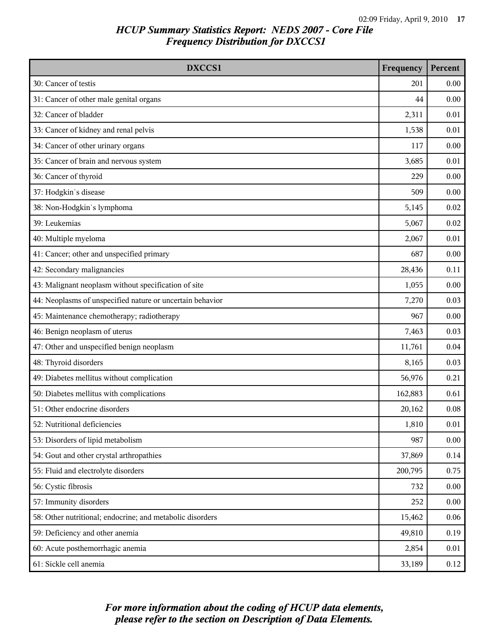| DXCCS1                                                    | Frequency | Percent |
|-----------------------------------------------------------|-----------|---------|
| 30: Cancer of testis                                      | 201       | 0.00    |
| 31: Cancer of other male genital organs                   | 44        | 0.00    |
| 32: Cancer of bladder                                     | 2,311     | 0.01    |
| 33: Cancer of kidney and renal pelvis                     | 1,538     | 0.01    |
| 34: Cancer of other urinary organs                        | 117       | 0.00    |
| 35: Cancer of brain and nervous system                    | 3,685     | 0.01    |
| 36: Cancer of thyroid                                     | 229       | 0.00    |
| 37: Hodgkin's disease                                     | 509       | 0.00    |
| 38: Non-Hodgkin's lymphoma                                | 5,145     | 0.02    |
| 39: Leukemias                                             | 5,067     | 0.02    |
| 40: Multiple myeloma                                      | 2,067     | 0.01    |
| 41: Cancer; other and unspecified primary                 | 687       | 0.00    |
| 42: Secondary malignancies                                | 28,436    | 0.11    |
| 43: Malignant neoplasm without specification of site      | 1,055     | 0.00    |
| 44: Neoplasms of unspecified nature or uncertain behavior | 7,270     | 0.03    |
| 45: Maintenance chemotherapy; radiotherapy                | 967       | 0.00    |
| 46: Benign neoplasm of uterus                             | 7,463     | 0.03    |
| 47: Other and unspecified benign neoplasm                 | 11,761    | 0.04    |
| 48: Thyroid disorders                                     | 8,165     | 0.03    |
| 49: Diabetes mellitus without complication                | 56,976    | 0.21    |
| 50: Diabetes mellitus with complications                  | 162,883   | 0.61    |
| 51: Other endocrine disorders                             | 20,162    | 0.08    |
| 52: Nutritional deficiencies                              | 1,810     | 0.01    |
| 53: Disorders of lipid metabolism                         | 987       | 0.00    |
| 54: Gout and other crystal arthropathies                  | 37,869    | 0.14    |
| 55: Fluid and electrolyte disorders                       | 200,795   | 0.75    |
| 56: Cystic fibrosis                                       | 732       | 0.00    |
| 57: Immunity disorders                                    | 252       | 0.00    |
| 58: Other nutritional; endocrine; and metabolic disorders | 15,462    | 0.06    |
| 59: Deficiency and other anemia                           | 49,810    | 0.19    |
| 60: Acute posthemorrhagic anemia                          | 2,854     | 0.01    |
| 61: Sickle cell anemia                                    | 33,189    | 0.12    |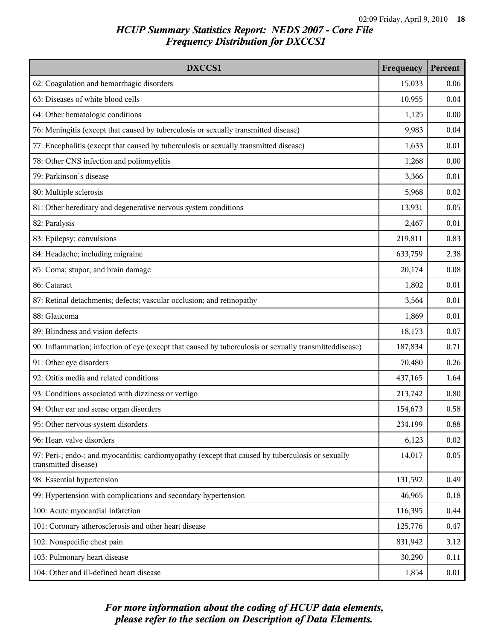| DXCCS1                                                                                                                    | Frequency | Percent |
|---------------------------------------------------------------------------------------------------------------------------|-----------|---------|
| 62: Coagulation and hemorrhagic disorders                                                                                 | 15,033    | 0.06    |
| 63: Diseases of white blood cells                                                                                         | 10,955    | 0.04    |
| 64: Other hematologic conditions                                                                                          | 1,125     | 0.00    |
| 76: Meningitis (except that caused by tuberculosis or sexually transmitted disease)                                       | 9,983     | 0.04    |
| 77: Encephalitis (except that caused by tuberculosis or sexually transmitted disease)                                     | 1,633     | 0.01    |
| 78: Other CNS infection and poliomyelitis                                                                                 | 1,268     | 0.00    |
| 79: Parkinson's disease                                                                                                   | 3,366     | 0.01    |
| 80: Multiple sclerosis                                                                                                    | 5,968     | 0.02    |
| 81: Other hereditary and degenerative nervous system conditions                                                           | 13,931    | 0.05    |
| 82: Paralysis                                                                                                             | 2,467     | 0.01    |
| 83: Epilepsy; convulsions                                                                                                 | 219,811   | 0.83    |
| 84: Headache; including migraine                                                                                          | 633,759   | 2.38    |
| 85: Coma; stupor; and brain damage                                                                                        | 20,174    | 0.08    |
| 86: Cataract                                                                                                              | 1,802     | 0.01    |
| 87: Retinal detachments; defects; vascular occlusion; and retinopathy                                                     | 3,564     | 0.01    |
| 88: Glaucoma                                                                                                              | 1,869     | 0.01    |
| 89: Blindness and vision defects                                                                                          | 18,173    | 0.07    |
| 90: Inflammation; infection of eye (except that caused by tuberculosis or sexually transmitteddisease)                    | 187,834   | 0.71    |
| 91: Other eye disorders                                                                                                   | 70,480    | 0.26    |
| 92: Otitis media and related conditions                                                                                   | 437,165   | 1.64    |
| 93: Conditions associated with dizziness or vertigo                                                                       | 213,742   | 0.80    |
| 94: Other ear and sense organ disorders                                                                                   | 154,673   | 0.58    |
| 95: Other nervous system disorders                                                                                        | 234,199   | 0.88    |
| 96: Heart valve disorders                                                                                                 | 6,123     | 0.02    |
| 97: Peri-; endo-; and myocarditis; cardiomyopathy (except that caused by tuberculosis or sexually<br>transmitted disease) | 14,017    | 0.05    |
| 98: Essential hypertension                                                                                                | 131,592   | 0.49    |
| 99: Hypertension with complications and secondary hypertension                                                            | 46,965    | 0.18    |
| 100: Acute myocardial infarction                                                                                          | 116,395   | 0.44    |
| 101: Coronary atherosclerosis and other heart disease                                                                     | 125,776   | 0.47    |
| 102: Nonspecific chest pain                                                                                               | 831,942   | 3.12    |
| 103: Pulmonary heart disease                                                                                              | 30,290    | 0.11    |
| 104: Other and ill-defined heart disease                                                                                  | 1,854     | 0.01    |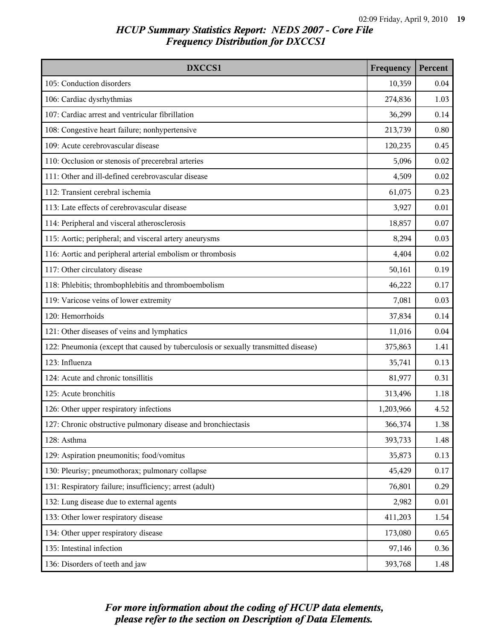| DXCCS1                                                                              | Frequency | Percent |
|-------------------------------------------------------------------------------------|-----------|---------|
| 105: Conduction disorders                                                           | 10,359    | 0.04    |
| 106: Cardiac dysrhythmias                                                           | 274,836   | 1.03    |
| 107: Cardiac arrest and ventricular fibrillation                                    | 36,299    | 0.14    |
| 108: Congestive heart failure; nonhypertensive                                      | 213,739   | 0.80    |
| 109: Acute cerebrovascular disease                                                  | 120,235   | 0.45    |
| 110: Occlusion or stenosis of precerebral arteries                                  | 5,096     | 0.02    |
| 111: Other and ill-defined cerebrovascular disease                                  | 4,509     | 0.02    |
| 112: Transient cerebral ischemia                                                    | 61,075    | 0.23    |
| 113: Late effects of cerebrovascular disease                                        | 3,927     | 0.01    |
| 114: Peripheral and visceral atherosclerosis                                        | 18,857    | 0.07    |
| 115: Aortic; peripheral; and visceral artery aneurysms                              | 8,294     | 0.03    |
| 116: Aortic and peripheral arterial embolism or thrombosis                          | 4,404     | 0.02    |
| 117: Other circulatory disease                                                      | 50,161    | 0.19    |
| 118: Phlebitis; thrombophlebitis and thromboembolism                                | 46,222    | 0.17    |
| 119: Varicose veins of lower extremity                                              | 7,081     | 0.03    |
| 120: Hemorrhoids                                                                    | 37,834    | 0.14    |
| 121: Other diseases of veins and lymphatics                                         | 11,016    | 0.04    |
| 122: Pneumonia (except that caused by tuberculosis or sexually transmitted disease) | 375,863   | 1.41    |
| 123: Influenza                                                                      | 35,741    | 0.13    |
| 124: Acute and chronic tonsillitis                                                  | 81,977    | 0.31    |
| 125: Acute bronchitis                                                               | 313,496   | 1.18    |
| 126: Other upper respiratory infections                                             | 1,203,966 | 4.52    |
| 127: Chronic obstructive pulmonary disease and bronchiectasis                       | 366,374   | 1.38    |
| 128: Asthma                                                                         | 393,733   | 1.48    |
| 129: Aspiration pneumonitis; food/vomitus                                           | 35,873    | 0.13    |
| 130: Pleurisy; pneumothorax; pulmonary collapse                                     | 45,429    | 0.17    |
| 131: Respiratory failure; insufficiency; arrest (adult)                             | 76,801    | 0.29    |
| 132: Lung disease due to external agents                                            | 2,982     | 0.01    |
| 133: Other lower respiratory disease                                                | 411,203   | 1.54    |
| 134: Other upper respiratory disease                                                | 173,080   | 0.65    |
| 135: Intestinal infection                                                           | 97,146    | 0.36    |
| 136: Disorders of teeth and jaw                                                     | 393,768   | 1.48    |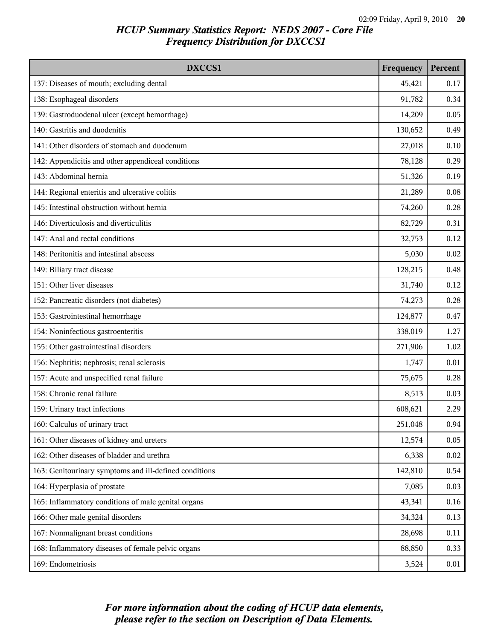| DXCCS1                                                 | Frequency | Percent |
|--------------------------------------------------------|-----------|---------|
| 137: Diseases of mouth; excluding dental               | 45,421    | 0.17    |
| 138: Esophageal disorders                              | 91,782    | 0.34    |
| 139: Gastroduodenal ulcer (except hemorrhage)          | 14,209    | 0.05    |
| 140: Gastritis and duodenitis                          | 130,652   | 0.49    |
| 141: Other disorders of stomach and duodenum           | 27,018    | 0.10    |
| 142: Appendicitis and other appendiceal conditions     | 78,128    | 0.29    |
| 143: Abdominal hernia                                  | 51,326    | 0.19    |
| 144: Regional enteritis and ulcerative colitis         | 21,289    | 0.08    |
| 145: Intestinal obstruction without hernia             | 74,260    | 0.28    |
| 146: Diverticulosis and diverticulitis                 | 82,729    | 0.31    |
| 147: Anal and rectal conditions                        | 32,753    | 0.12    |
| 148: Peritonitis and intestinal abscess                | 5,030     | 0.02    |
| 149: Biliary tract disease                             | 128,215   | 0.48    |
| 151: Other liver diseases                              | 31,740    | 0.12    |
| 152: Pancreatic disorders (not diabetes)               | 74,273    | 0.28    |
| 153: Gastrointestinal hemorrhage                       | 124,877   | 0.47    |
| 154: Noninfectious gastroenteritis                     | 338,019   | 1.27    |
| 155: Other gastrointestinal disorders                  | 271,906   | 1.02    |
| 156: Nephritis; nephrosis; renal sclerosis             | 1,747     | 0.01    |
| 157: Acute and unspecified renal failure               | 75,675    | 0.28    |
| 158: Chronic renal failure                             | 8,513     | 0.03    |
| 159: Urinary tract infections                          | 608,621   | 2.29    |
| 160: Calculus of urinary tract                         | 251,048   | 0.94    |
| 161: Other diseases of kidney and ureters              | 12,574    | 0.05    |
| 162: Other diseases of bladder and urethra             | 6,338     | 0.02    |
| 163: Genitourinary symptoms and ill-defined conditions | 142,810   | 0.54    |
| 164: Hyperplasia of prostate                           | 7,085     | 0.03    |
| 165: Inflammatory conditions of male genital organs    | 43,341    | 0.16    |
| 166: Other male genital disorders                      | 34,324    | 0.13    |
| 167: Nonmalignant breast conditions                    | 28,698    | 0.11    |
| 168: Inflammatory diseases of female pelvic organs     | 88,850    | 0.33    |
| 169: Endometriosis                                     | 3,524     | 0.01    |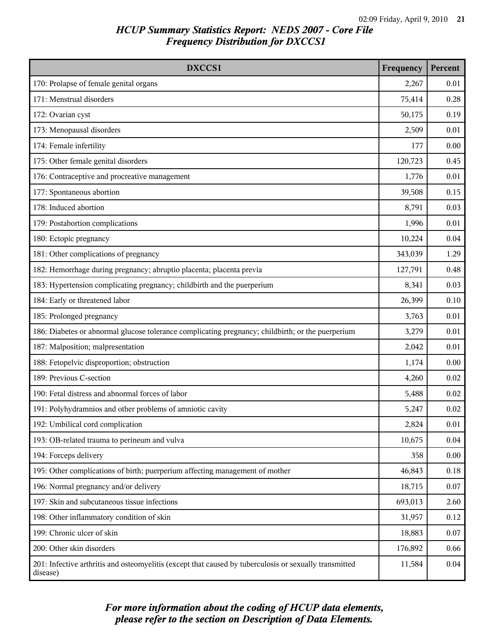| DXCCS1                                                                                                             | Frequency | Percent |
|--------------------------------------------------------------------------------------------------------------------|-----------|---------|
| 170: Prolapse of female genital organs                                                                             | 2,267     | 0.01    |
| 171: Menstrual disorders                                                                                           | 75,414    | 0.28    |
| 172: Ovarian cyst                                                                                                  | 50,175    | 0.19    |
| 173: Menopausal disorders                                                                                          | 2,509     | 0.01    |
| 174: Female infertility                                                                                            | 177       | 0.00    |
| 175: Other female genital disorders                                                                                | 120,723   | 0.45    |
| 176: Contraceptive and procreative management                                                                      | 1,776     | 0.01    |
| 177: Spontaneous abortion                                                                                          | 39,508    | 0.15    |
| 178: Induced abortion                                                                                              | 8,791     | 0.03    |
| 179: Postabortion complications                                                                                    | 1,996     | 0.01    |
| 180: Ectopic pregnancy                                                                                             | 10,224    | 0.04    |
| 181: Other complications of pregnancy                                                                              | 343,039   | 1.29    |
| 182: Hemorrhage during pregnancy; abruptio placenta; placenta previa                                               | 127,791   | 0.48    |
| 183: Hypertension complicating pregnancy; childbirth and the puerperium                                            | 8,341     | 0.03    |
| 184: Early or threatened labor                                                                                     | 26,399    | 0.10    |
| 185: Prolonged pregnancy                                                                                           | 3,763     | 0.01    |
| 186: Diabetes or abnormal glucose tolerance complicating pregnancy; childbirth; or the puerperium                  | 3,279     | 0.01    |
| 187: Malposition; malpresentation                                                                                  | 2,042     | 0.01    |
| 188: Fetopelvic disproportion; obstruction                                                                         | 1,174     | 0.00    |
| 189: Previous C-section                                                                                            | 4,260     | 0.02    |
| 190: Fetal distress and abnormal forces of labor                                                                   | 5,488     | 0.02    |
| 191: Polyhydramnios and other problems of amniotic cavity                                                          | 5,247     | 0.02    |
| 192: Umbilical cord complication                                                                                   | 2,824     | 0.01    |
| 193: OB-related trauma to perineum and vulva                                                                       | 10,675    | 0.04    |
| 194: Forceps delivery                                                                                              | 358       | 0.00    |
| 195: Other complications of birth; puerperium affecting management of mother                                       | 46,843    | 0.18    |
| 196: Normal pregnancy and/or delivery                                                                              | 18,715    | 0.07    |
| 197: Skin and subcutaneous tissue infections                                                                       | 693,013   | 2.60    |
| 198: Other inflammatory condition of skin                                                                          | 31,957    | 0.12    |
| 199: Chronic ulcer of skin                                                                                         | 18,883    | 0.07    |
| 200: Other skin disorders                                                                                          | 176,892   | 0.66    |
| 201: Infective arthritis and osteomyelitis (except that caused by tuberculosis or sexually transmitted<br>disease) | 11,584    | 0.04    |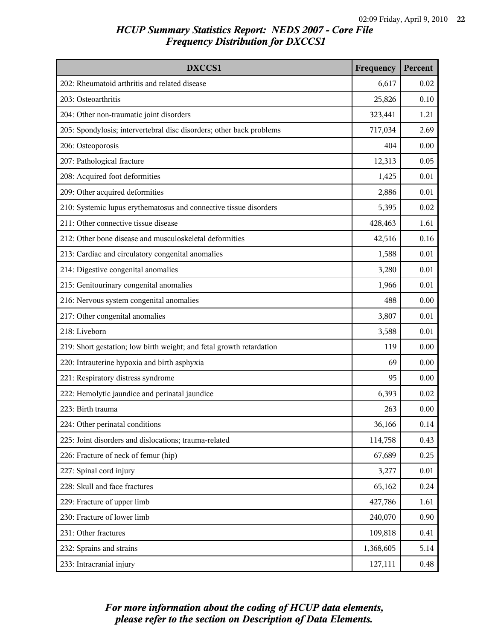| DXCCS1                                                               | Frequency | Percent |
|----------------------------------------------------------------------|-----------|---------|
| 202: Rheumatoid arthritis and related disease                        | 6,617     | 0.02    |
| 203: Osteoarthritis                                                  | 25,826    | 0.10    |
| 204: Other non-traumatic joint disorders                             | 323,441   | 1.21    |
| 205: Spondylosis; intervertebral disc disorders; other back problems | 717,034   | 2.69    |
| 206: Osteoporosis                                                    | 404       | 0.00    |
| 207: Pathological fracture                                           | 12,313    | 0.05    |
| 208: Acquired foot deformities                                       | 1,425     | 0.01    |
| 209: Other acquired deformities                                      | 2,886     | 0.01    |
| 210: Systemic lupus erythematosus and connective tissue disorders    | 5,395     | 0.02    |
| 211: Other connective tissue disease                                 | 428,463   | 1.61    |
| 212: Other bone disease and musculoskeletal deformities              | 42,516    | 0.16    |
| 213: Cardiac and circulatory congenital anomalies                    | 1,588     | 0.01    |
| 214: Digestive congenital anomalies                                  | 3,280     | 0.01    |
| 215: Genitourinary congenital anomalies                              | 1,966     | 0.01    |
| 216: Nervous system congenital anomalies                             | 488       | 0.00    |
| 217: Other congenital anomalies                                      | 3,807     | 0.01    |
| 218: Liveborn                                                        | 3,588     | 0.01    |
| 219: Short gestation; low birth weight; and fetal growth retardation | 119       | 0.00    |
| 220: Intrauterine hypoxia and birth asphyxia                         | 69        | 0.00    |
| 221: Respiratory distress syndrome                                   | 95        | 0.00    |
| 222: Hemolytic jaundice and perinatal jaundice                       | 6,393     | 0.02    |
| 223: Birth trauma                                                    | 263       | 0.00    |
| 224: Other perinatal conditions                                      | 36,166    | 0.14    |
| 225: Joint disorders and dislocations; trauma-related                | 114,758   | 0.43    |
| 226: Fracture of neck of femur (hip)                                 | 67,689    | 0.25    |
| 227: Spinal cord injury                                              | 3,277     | 0.01    |
| 228: Skull and face fractures                                        | 65,162    | 0.24    |
| 229: Fracture of upper limb                                          | 427,786   | 1.61    |
| 230: Fracture of lower limb                                          | 240,070   | 0.90    |
| 231: Other fractures                                                 | 109,818   | 0.41    |
| 232: Sprains and strains                                             | 1,368,605 | 5.14    |
| 233: Intracranial injury                                             | 127,111   | 0.48    |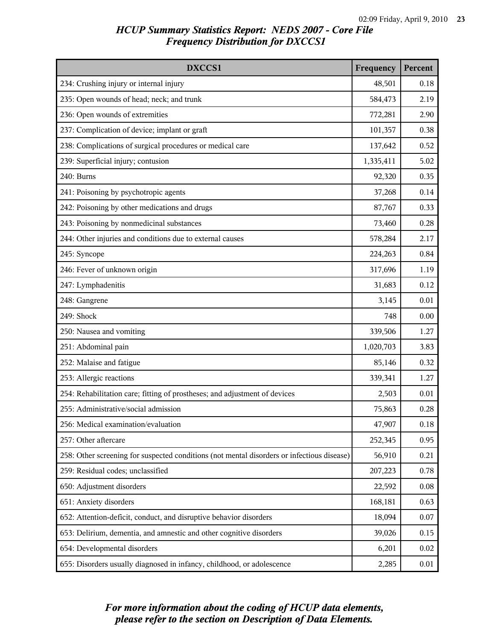| DXCCS1                                                                                     | Frequency | Percent |
|--------------------------------------------------------------------------------------------|-----------|---------|
| 234: Crushing injury or internal injury                                                    | 48,501    | 0.18    |
| 235: Open wounds of head; neck; and trunk                                                  | 584,473   | 2.19    |
| 236: Open wounds of extremities                                                            | 772,281   | 2.90    |
| 237: Complication of device; implant or graft                                              | 101,357   | 0.38    |
| 238: Complications of surgical procedures or medical care                                  | 137,642   | 0.52    |
| 239: Superficial injury; contusion                                                         | 1,335,411 | 5.02    |
| 240: Burns                                                                                 | 92,320    | 0.35    |
| 241: Poisoning by psychotropic agents                                                      | 37,268    | 0.14    |
| 242: Poisoning by other medications and drugs                                              | 87,767    | 0.33    |
| 243: Poisoning by nonmedicinal substances                                                  | 73,460    | 0.28    |
| 244: Other injuries and conditions due to external causes                                  | 578,284   | 2.17    |
| 245: Syncope                                                                               | 224,263   | 0.84    |
| 246: Fever of unknown origin                                                               | 317,696   | 1.19    |
| 247: Lymphadenitis                                                                         | 31,683    | 0.12    |
| 248: Gangrene                                                                              | 3,145     | 0.01    |
| 249: Shock                                                                                 | 748       | 0.00    |
| 250: Nausea and vomiting                                                                   | 339,506   | 1.27    |
| 251: Abdominal pain                                                                        | 1,020,703 | 3.83    |
| 252: Malaise and fatigue                                                                   | 85,146    | 0.32    |
| 253: Allergic reactions                                                                    | 339,341   | 1.27    |
| 254: Rehabilitation care; fitting of prostheses; and adjustment of devices                 | 2,503     | 0.01    |
| 255: Administrative/social admission                                                       | 75,863    | 0.28    |
| 256: Medical examination/evaluation                                                        | 47,907    | 0.18    |
| 257: Other aftercare                                                                       | 252,345   | 0.95    |
| 258: Other screening for suspected conditions (not mental disorders or infectious disease) | 56,910    | 0.21    |
| 259: Residual codes; unclassified                                                          | 207,223   | 0.78    |
| 650: Adjustment disorders                                                                  | 22,592    | 0.08    |
| 651: Anxiety disorders                                                                     | 168,181   | 0.63    |
| 652: Attention-deficit, conduct, and disruptive behavior disorders                         | 18,094    | 0.07    |
| 653: Delirium, dementia, and amnestic and other cognitive disorders                        | 39,026    | 0.15    |
| 654: Developmental disorders                                                               | 6,201     | 0.02    |
| 655: Disorders usually diagnosed in infancy, childhood, or adolescence                     | 2,285     | 0.01    |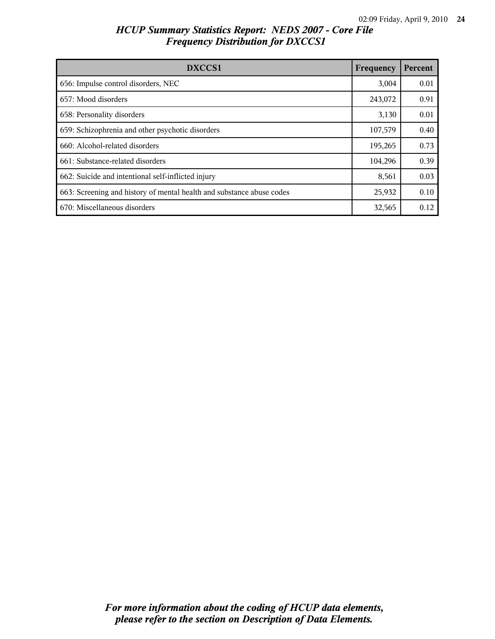| DXCCS1                                                                | Frequency | Percent |
|-----------------------------------------------------------------------|-----------|---------|
| 656: Impulse control disorders, NEC                                   | 3,004     | 0.01    |
| 657: Mood disorders                                                   | 243,072   | 0.91    |
| 658: Personality disorders                                            | 3,130     | 0.01    |
| 659: Schizophrenia and other psychotic disorders                      | 107,579   | 0.40    |
| 660: Alcohol-related disorders                                        | 195,265   | 0.73    |
| 661: Substance-related disorders                                      | 104,296   | 0.39    |
| 662: Suicide and intentional self-inflicted injury                    | 8,561     | 0.03    |
| 663: Screening and history of mental health and substance abuse codes | 25,932    | 0.10    |
| 670: Miscellaneous disorders                                          | 32,565    | 0.12    |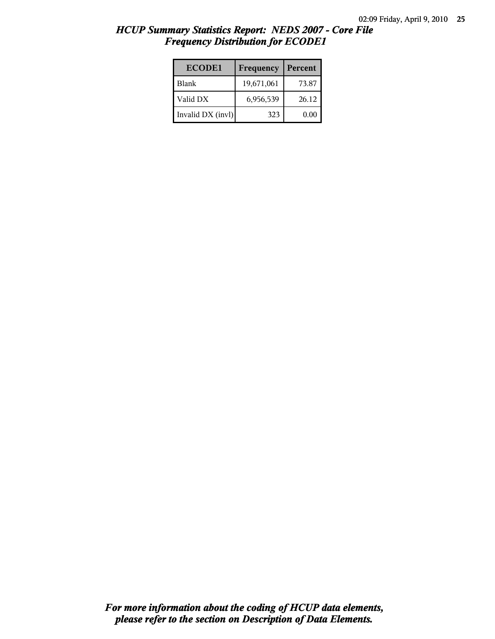| <b>ECODE1</b>     | Frequency  | Percent |
|-------------------|------------|---------|
| l Blank           | 19,671,061 | 73.87   |
| Valid DX          | 6,956,539  | 26.12   |
| Invalid DX (invl) | 323        | 0.00    |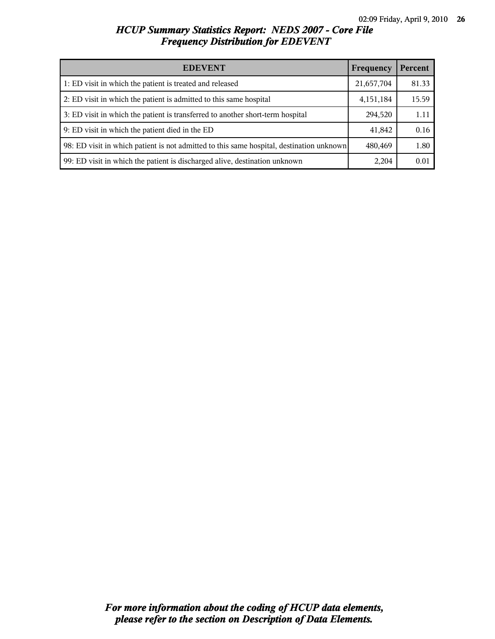| <b>EDEVENT</b>                                                                           | Frequency   | Percent |
|------------------------------------------------------------------------------------------|-------------|---------|
| 1: ED visit in which the patient is treated and released                                 | 21,657,704  | 81.33   |
| 2: ED visit in which the patient is admitted to this same hospital                       | 4, 151, 184 | 15.59   |
| 3: ED visit in which the patient is transferred to another short-term hospital           | 294,520     | 1.11    |
| 9: ED visit in which the patient died in the ED                                          | 41,842      | 0.16    |
| 98: ED visit in which patient is not admitted to this same hospital, destination unknown | 480,469     | 1.80    |
| 99: ED visit in which the patient is discharged alive, destination unknown               | 2,204       | 0.01    |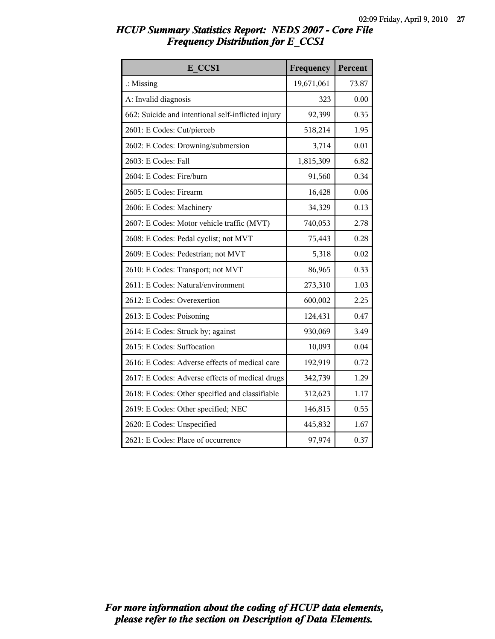| HCUP Summary Statistics Report: NEDS 2007 - Core File |  |  |
|-------------------------------------------------------|--|--|
| <b>Frequency Distribution for E_CCS1</b>              |  |  |

| E CCS1                                             | Frequency  | Percent |
|----------------------------------------------------|------------|---------|
| $\therefore$ Missing                               | 19,671,061 | 73.87   |
| A: Invalid diagnosis                               | 323        | 0.00    |
| 662: Suicide and intentional self-inflicted injury | 92,399     | 0.35    |
| 2601: E Codes: Cut/pierceb                         | 518,214    | 1.95    |
| 2602: E Codes: Drowning/submersion                 | 3,714      | 0.01    |
| 2603: E Codes: Fall                                | 1,815,309  | 6.82    |
| 2604: E Codes: Fire/burn                           | 91,560     | 0.34    |
| 2605: E Codes: Firearm                             | 16,428     | 0.06    |
| 2606: E Codes: Machinery                           | 34,329     | 0.13    |
| 2607: E Codes: Motor vehicle traffic (MVT)         | 740,053    | 2.78    |
| 2608: E Codes: Pedal cyclist; not MVT              | 75,443     | 0.28    |
| 2609: E Codes: Pedestrian; not MVT                 | 5,318      | 0.02    |
| 2610: E Codes: Transport; not MVT                  | 86,965     | 0.33    |
| 2611: E Codes: Natural/environment                 | 273,310    | 1.03    |
| 2612: E Codes: Overexertion                        | 600,002    | 2.25    |
| 2613: E Codes: Poisoning                           | 124,431    | 0.47    |
| 2614: E Codes: Struck by; against                  | 930,069    | 3.49    |
| 2615: E Codes: Suffocation                         | 10,093     | 0.04    |
| 2616: E Codes: Adverse effects of medical care     | 192,919    | 0.72    |
| 2617: E Codes: Adverse effects of medical drugs    | 342,739    | 1.29    |
| 2618: E Codes: Other specified and classifiable    | 312,623    | 1.17    |
| 2619: E Codes: Other specified; NEC                | 146,815    | 0.55    |
| 2620: E Codes: Unspecified                         | 445,832    | 1.67    |
| 2621: E Codes: Place of occurrence                 | 97,974     | 0.37    |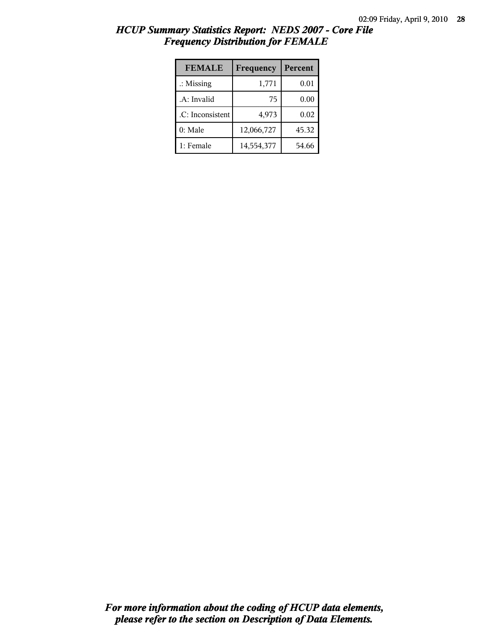| HCUP Summary Statistics Report: NEDS 2007 - Core File |  |
|-------------------------------------------------------|--|
| <b>Frequency Distribution for FEMALE</b>              |  |

| <b>FEMALE</b>        | Frequency  | Percent |
|----------------------|------------|---------|
| $\therefore$ Missing | 1,771      | 0.01    |
| .A: Invalid          | 75         | 0.00    |
| .C: Inconsistent     | 4,973      | 0.02    |
| 0: Male              | 12,066,727 | 45.32   |
| 1: Female            | 14,554,377 | 54.66   |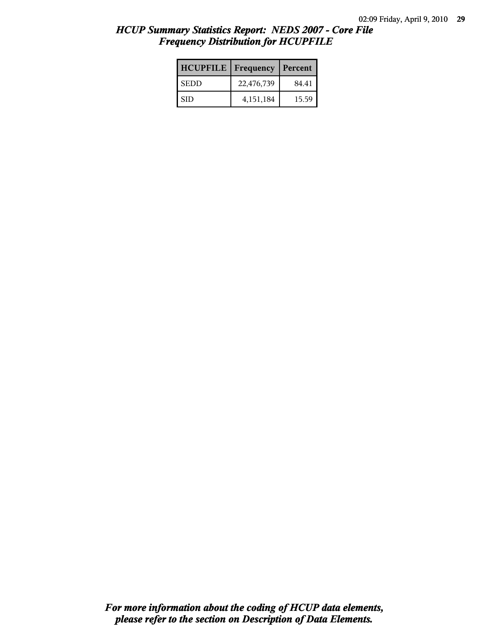| <b>HCUPFILE</b> | ш<br>Frequency | Percent |
|-----------------|----------------|---------|
| <b>SEDD</b>     | 22,476,739     | 84.41   |
| <b>SID</b>      | 4,151,184      | 15.59   |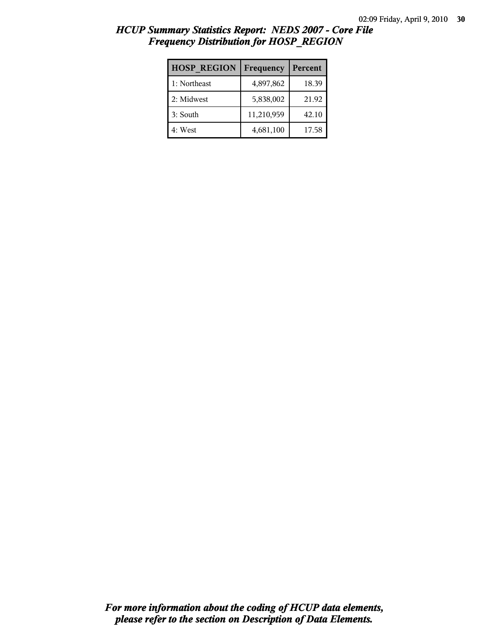| <b>HOSP REGION</b> | Frequency  | Percent |
|--------------------|------------|---------|
| 1: Northeast       | 4,897,862  | 18.39   |
| 2: Midwest         | 5,838,002  | 21.92   |
| 3: South           | 11,210,959 | 42.10   |
| 4: West            | 4,681,100  | 17.58   |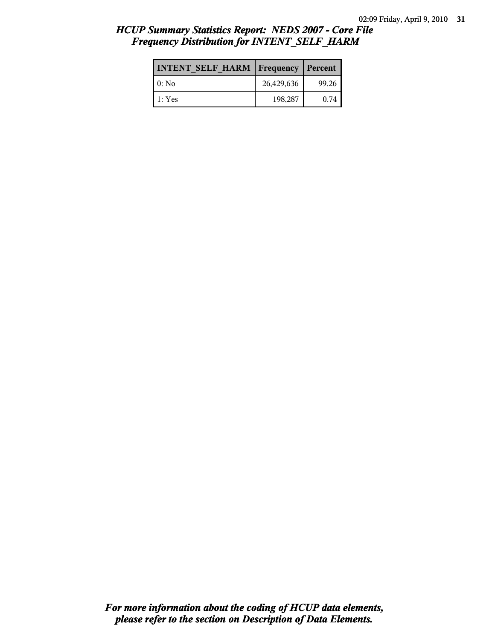| <b>INTENT SELF HARM   Frequency</b> |            | Percent |
|-------------------------------------|------------|---------|
| 10: No                              | 26,429,636 | 99.26   |
| $\pm$ 1: Yes                        | 198,287    | 0.74    |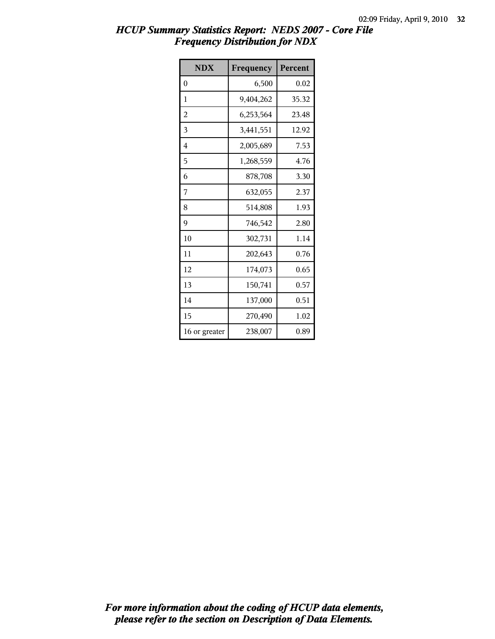| <b>NDX</b>    | Frequency | Percent |
|---------------|-----------|---------|
| $\theta$      | 6,500     | 0.02    |
| 1             | 9,404,262 | 35.32   |
| 2             | 6,253,564 | 23.48   |
| 3             | 3,441,551 | 12.92   |
| 4             | 2,005,689 | 7.53    |
| 5             | 1,268,559 | 4.76    |
| 6             | 878,708   | 3.30    |
| 7             | 632,055   | 2.37    |
| 8             | 514,808   | 1.93    |
| 9             | 746,542   | 2.80    |
| 10            | 302,731   | 1.14    |
| 11            | 202,643   | 0.76    |
| 12            | 174,073   | 0.65    |
| 13            | 150,741   | 0.57    |
| 14            | 137,000   | 0.51    |
| 15            | 270,490   | 1.02    |
| 16 or greater | 238,007   | 0.89    |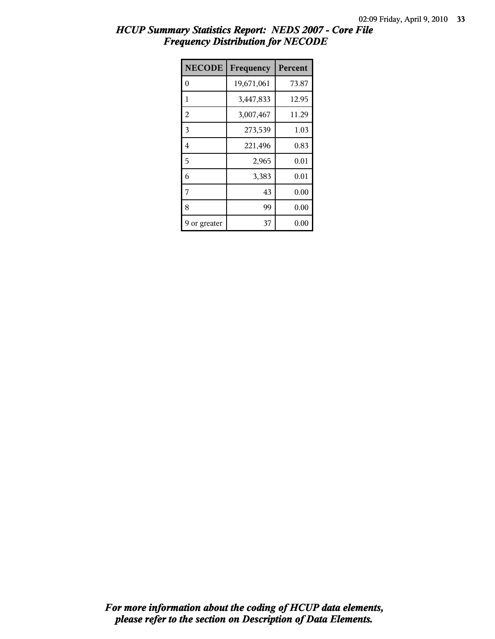| <b>NECODE</b>  | Frequency  | Percent |
|----------------|------------|---------|
| 0              | 19,671,061 | 73.87   |
| 1              | 3,447,833  | 12.95   |
| $\overline{c}$ | 3,007,467  | 11.29   |
| 3              | 273,539    | 1.03    |
| 4              | 221,496    | 0.83    |
| 5              | 2,965      | 0.01    |
| 6              | 3,383      | 0.01    |
| 7              | 43         | 0.00    |
| 8              | 99         | 0.00    |
| or greater     | 37         | 0.00    |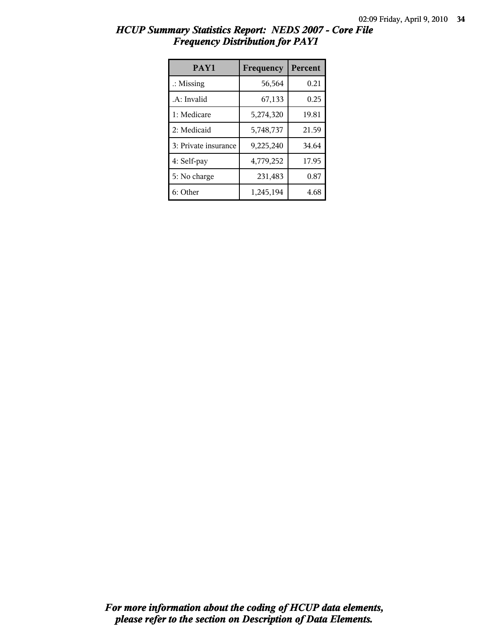| HCUP Summary Statistics Report: NEDS 2007 - Core File |  |
|-------------------------------------------------------|--|
| <b>Frequency Distribution for PAY1</b>                |  |

| PAY1                 | Frequency | <b>Percent</b> |
|----------------------|-----------|----------------|
| $\therefore$ Missing | 56,564    | 0.21           |
| .A: Invalid          | 67,133    | 0.25           |
| 1: Medicare          | 5,274,320 | 19.81          |
| 2: Medicaid          | 5,748,737 | 21.59          |
| 3: Private insurance | 9,225,240 | 34.64          |
| 4: Self-pay          | 4,779,252 | 17.95          |
| 5: No charge         | 231,483   | 0.87           |
| 6: Other             | 1,245,194 | 4.68           |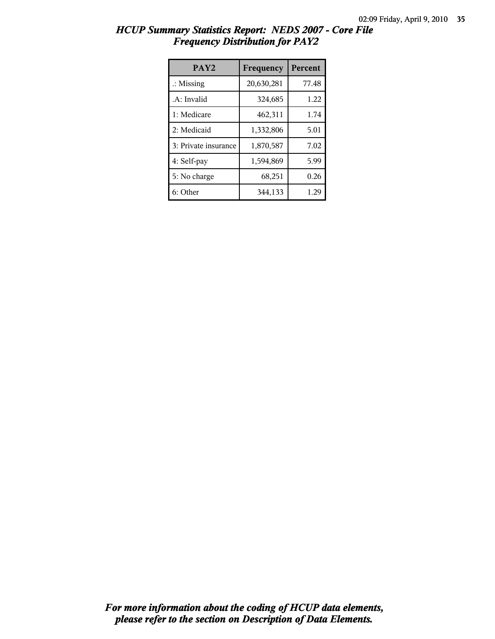| HCUP Summary Statistics Report: NEDS 2007 - Core File |  |
|-------------------------------------------------------|--|
| <b>Frequency Distribution for PAY2</b>                |  |

| PAY <sub>2</sub>     | Frequency  | Percent |
|----------------------|------------|---------|
| $\therefore$ Missing | 20,630,281 | 77.48   |
| .A: Invalid          | 324,685    | 1.22    |
| 1: Medicare          | 462,311    | 1.74    |
| 2: Medicaid          | 1,332,806  | 5.01    |
| 3: Private insurance | 1,870,587  | 7.02    |
| 4: Self-pay          | 1,594,869  | 5.99    |
| 5: No charge         | 68,251     | 0.26    |
| 6: Other             | 344,133    | 1.29    |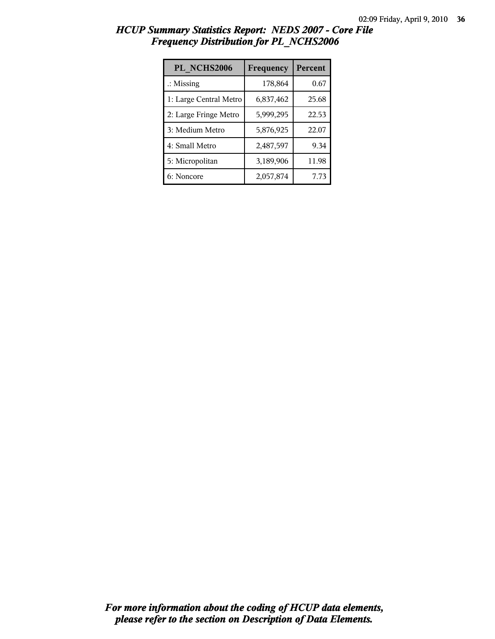| PL NCHS2006            | Frequency | Percent |
|------------------------|-----------|---------|
| $\therefore$ Missing   | 178,864   | 0.67    |
| 1: Large Central Metro | 6,837,462 | 25.68   |
| 2: Large Fringe Metro  | 5,999,295 | 22.53   |
| 3: Medium Metro        | 5,876,925 | 22.07   |
| 4: Small Metro         | 2,487,597 | 9.34    |
| 5: Micropolitan        | 3,189,906 | 11.98   |
| 6: Noncore             | 2,057,874 | 7.73    |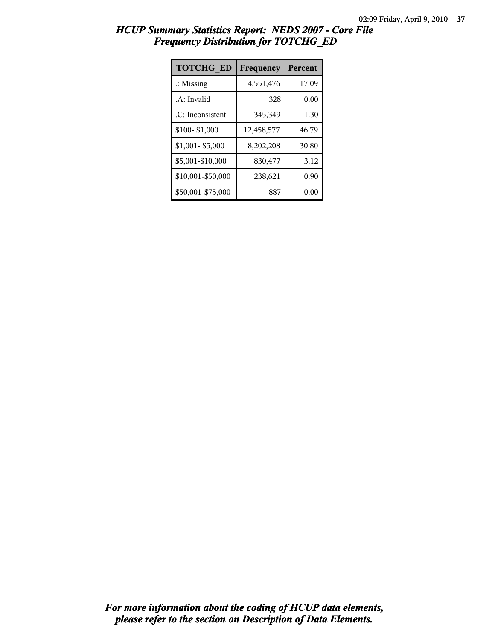| <b>TOTCHG ED</b>     | Frequency  | Percent |
|----------------------|------------|---------|
| $\therefore$ Missing | 4,551,476  | 17.09   |
| .A: Invalid          | 328        | 0.00    |
| .C: Inconsistent     | 345,349    | 1.30    |
| \$100-\$1,000        | 12,458,577 | 46.79   |
| \$1,001-\$5,000      | 8,202,208  | 30.80   |
| \$5,001-\$10,000     | 830,477    | 3.12    |
| \$10,001-\$50,000    | 238,621    | 0.90    |
| \$50,001-\$75,000    | 887        | 0.00    |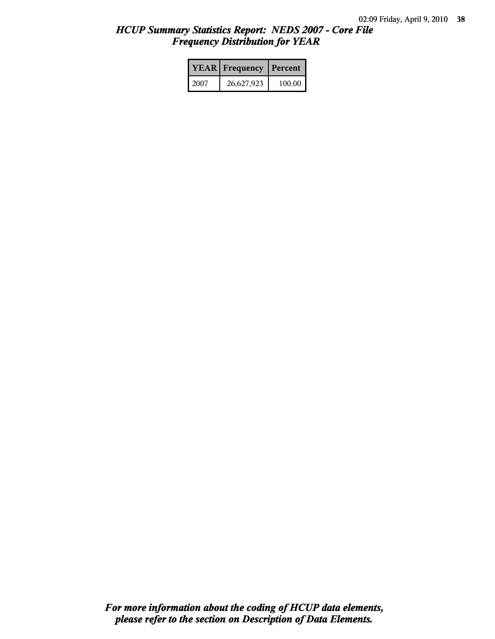|      | <b>YEAR</b> Frequency | Percent |
|------|-----------------------|---------|
| 2007 | 26,627,923            | 100.00  |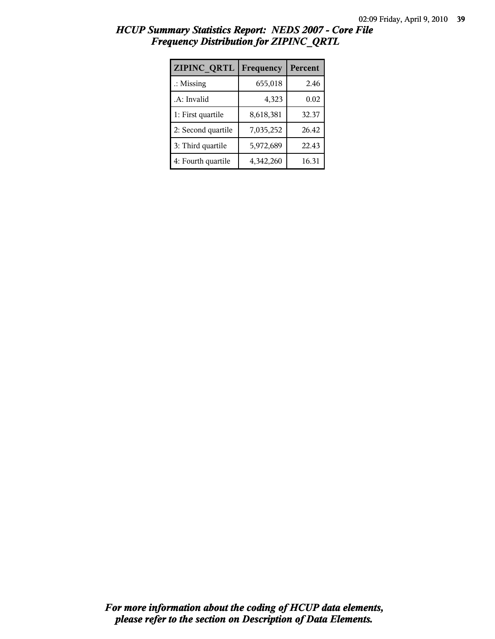| ZIPINC_QRTL          | Frequency | Percent |
|----------------------|-----------|---------|
| $\therefore$ Missing | 655,018   | 2.46    |
| .A: Invalid          | 4,323     | 0.02    |
| 1: First quartile    | 8,618,381 | 32.37   |
| 2: Second quartile   | 7,035,252 | 26.42   |
| 3: Third quartile    | 5,972,689 | 22.43   |
| 4: Fourth quartile   | 4,342,260 | 16.31   |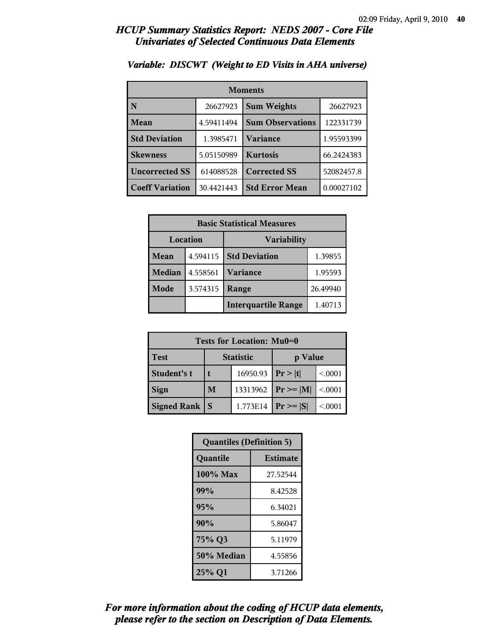| <b>Moments</b>         |            |                         |            |
|------------------------|------------|-------------------------|------------|
| N                      | 26627923   | <b>Sum Weights</b>      | 26627923   |
| Mean                   | 4.59411494 | <b>Sum Observations</b> | 122331739  |
| <b>Std Deviation</b>   | 1.3985471  | Variance                | 1.95593399 |
| <b>Skewness</b>        | 5.05150989 | <b>Kurtosis</b>         | 66.2424383 |
| <b>Uncorrected SS</b>  | 614088528  | <b>Corrected SS</b>     | 52082457.8 |
| <b>Coeff Variation</b> | 30.4421443 | <b>Std Error Mean</b>   | 0.00027102 |

### *Variable: DISCWT (Weight to ED Visits in AHA universe)*

| <b>Basic Statistical Measures</b> |          |                            |          |
|-----------------------------------|----------|----------------------------|----------|
| Location<br><b>Variability</b>    |          |                            |          |
| Mean                              | 4.594115 | <b>Std Deviation</b>       | 1.39855  |
| <b>Median</b>                     | 4.558561 | <b>Variance</b>            | 1.95593  |
| Mode                              | 3.574315 | Range                      | 26.49940 |
|                                   |          | <b>Interquartile Range</b> | 1.40713  |

| Tests for Location: Mu0=0 |                             |          |                |         |
|---------------------------|-----------------------------|----------|----------------|---------|
| <b>Test</b>               | <b>Statistic</b><br>p Value |          |                |         |
| <b>Student's t</b>        |                             | 16950.93 | Pr >  t        | < 0.001 |
| <b>Sign</b>               | M                           | 13313962 | $Pr \ge =  M $ | < 0.001 |
| Signed Rank               |                             | 1.773E14 | $Pr \geq  S $  | < 0001  |

| <b>Quantiles (Definition 5)</b> |                 |  |
|---------------------------------|-----------------|--|
| Quantile                        | <b>Estimate</b> |  |
| $100\%$ Max                     | 27.52544        |  |
| 99%                             | 8.42528         |  |
| 95%                             | 6.34021         |  |
| 90%                             | 5.86047         |  |
| 75% Q3<br>5.11979               |                 |  |
| 50% Median                      | 4.55856         |  |
| 25% Q1<br>3.71266               |                 |  |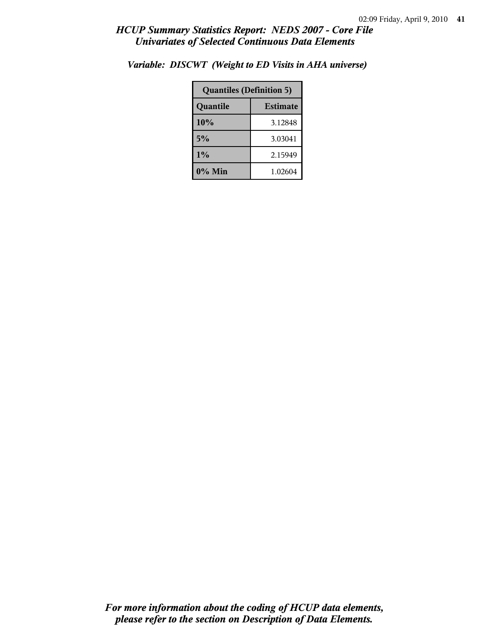| <b>Quantiles (Definition 5)</b> |         |  |
|---------------------------------|---------|--|
| <b>Estimate</b><br>Quantile     |         |  |
| 10%                             | 3.12848 |  |
| 5%                              | 3.03041 |  |
| 1%<br>2.15949                   |         |  |
| 0% Min<br>1.02604               |         |  |

*Variable: DISCWT (Weight to ED Visits in AHA universe)*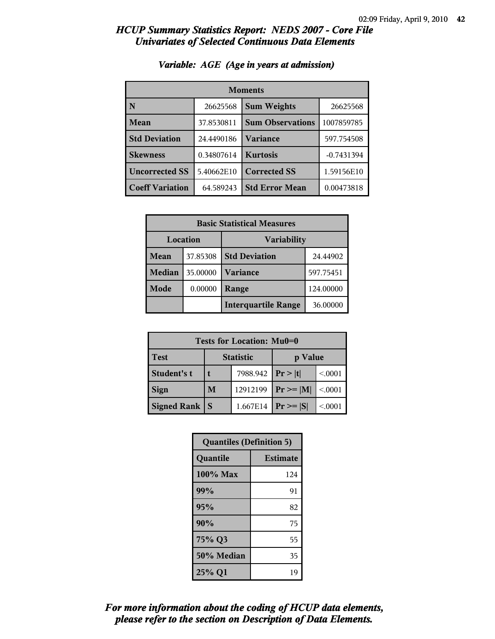| <b>Moments</b>         |            |                         |              |
|------------------------|------------|-------------------------|--------------|
| N                      | 26625568   | <b>Sum Weights</b>      | 26625568     |
| Mean                   | 37.8530811 | <b>Sum Observations</b> | 1007859785   |
| <b>Std Deviation</b>   | 24.4490186 | <b>Variance</b>         | 597.754508   |
| <b>Skewness</b>        | 0.34807614 | <b>Kurtosis</b>         | $-0.7431394$ |
| <b>Uncorrected SS</b>  | 5.40662E10 | <b>Corrected SS</b>     | 1.59156E10   |
| <b>Coeff Variation</b> | 64.589243  | <b>Std Error Mean</b>   | 0.00473818   |

### *Variable: AGE (Age in years at admission)*

| <b>Basic Statistical Measures</b> |          |                            |           |
|-----------------------------------|----------|----------------------------|-----------|
| Location<br><b>Variability</b>    |          |                            |           |
| Mean                              | 37.85308 | <b>Std Deviation</b>       | 24.44902  |
| <b>Median</b>                     | 35.00000 | <b>Variance</b>            | 597.75451 |
| Mode                              | 0.00000  | Range                      | 124.00000 |
|                                   |          | <b>Interquartile Range</b> | 36.00000  |

| Tests for Location: Mu0=0 |                             |          |                |         |  |
|---------------------------|-----------------------------|----------|----------------|---------|--|
| <b>Test</b>               | <b>Statistic</b><br>p Value |          |                |         |  |
| <b>Student's t</b>        | 7988.942                    |          | Pr >  t        | < 0.001 |  |
| <b>Sign</b>               | M                           | 12912199 | $Pr \ge =  M $ | < 0.001 |  |
| Signed Rank               |                             | 1.667E14 | $Pr \geq  S $  | < 0001  |  |

| <b>Quantiles (Definition 5)</b> |                 |  |
|---------------------------------|-----------------|--|
| Quantile                        | <b>Estimate</b> |  |
| $100\%$ Max                     | 124             |  |
| 99%                             | 91              |  |
| 95%                             | 82              |  |
| 90%                             | 75              |  |
| 75% Q3                          | 55              |  |
| 50% Median                      | 35              |  |
| 25% Q1                          | 19              |  |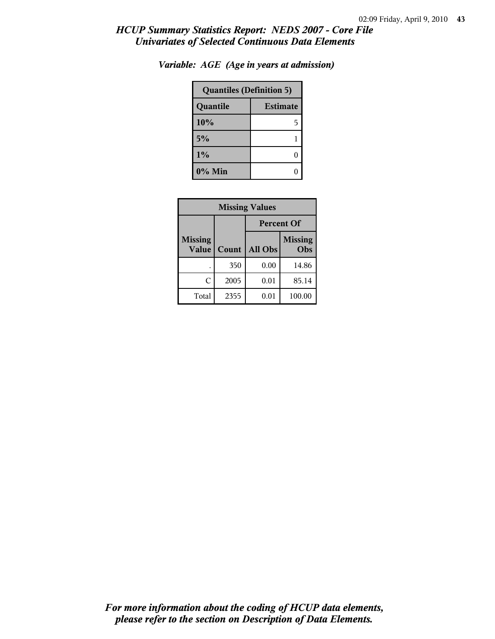| <b>Quantiles (Definition 5)</b> |   |  |
|---------------------------------|---|--|
| <b>Estimate</b><br>Quantile     |   |  |
| 10%                             | 5 |  |
| 5%                              |   |  |
| $1\%$                           |   |  |
| 0% Min                          |   |  |

*Variable: AGE (Age in years at admission)*

| <b>Missing Values</b>          |       |                   |                       |
|--------------------------------|-------|-------------------|-----------------------|
|                                |       | <b>Percent Of</b> |                       |
| <b>Missing</b><br><b>Value</b> | Count | All Obs           | <b>Missing</b><br>Obs |
|                                | 350   | 0.00              | 14.86                 |
| C                              | 2005  | 0.01              | 85.14                 |
| Total                          | 2355  | 0.01              | 100.00                |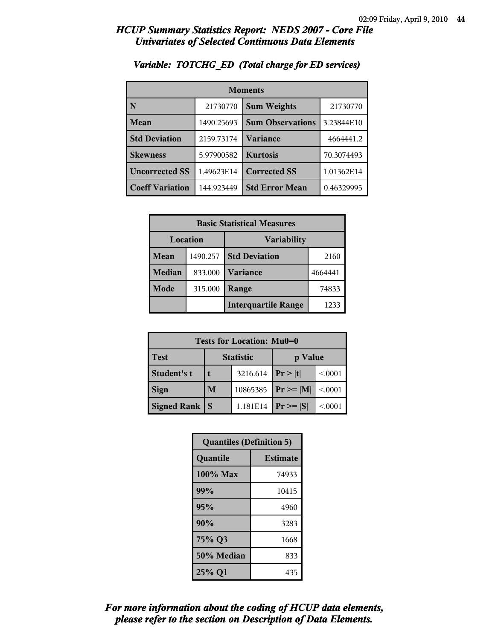| <b>Moments</b>         |            |                         |            |
|------------------------|------------|-------------------------|------------|
| N                      | 21730770   | <b>Sum Weights</b>      | 21730770   |
| Mean                   | 1490.25693 | <b>Sum Observations</b> | 3.23844E10 |
| <b>Std Deviation</b>   | 2159.73174 | Variance                | 4664441.2  |
| <b>Skewness</b>        | 5.97900582 | <b>Kurtosis</b>         | 70.3074493 |
| <b>Uncorrected SS</b>  | 1.49623E14 | <b>Corrected SS</b>     | 1.01362E14 |
| <b>Coeff Variation</b> | 144.923449 | <b>Std Error Mean</b>   | 0.46329995 |

### *Variable: TOTCHG\_ED (Total charge for ED services)*

| <b>Basic Statistical Measures</b> |          |                            |         |  |
|-----------------------------------|----------|----------------------------|---------|--|
| Location<br>Variability           |          |                            |         |  |
| Mean                              | 1490.257 | <b>Std Deviation</b>       | 2160    |  |
| Median                            | 833.000  | <b>Variance</b>            | 4664441 |  |
| <b>Mode</b>                       | 315.000  | Range                      | 74833   |  |
|                                   |          | <b>Interquartile Range</b> | 1233    |  |

| Tests for Location: Mu0=0 |                             |          |                |         |
|---------------------------|-----------------------------|----------|----------------|---------|
| <b>Test</b>               | <b>Statistic</b><br>p Value |          |                |         |
| Student's t               |                             | 3216.614 | Pr >  t        | < 0.001 |
| <b>Sign</b>               | M                           | 10865385 | $Pr \ge =  M $ | < 0.001 |
| <b>Signed Rank</b>        |                             | 1.181E14 | $Pr \geq  S $  | < 0001  |

| <b>Quantiles (Definition 5)</b> |                 |  |
|---------------------------------|-----------------|--|
| Quantile                        | <b>Estimate</b> |  |
| $100\%$ Max                     | 74933           |  |
| 99%                             | 10415           |  |
| 95%                             | 4960            |  |
| 90%                             | 3283            |  |
| 75% Q3<br>1668                  |                 |  |
| 50% Median                      | 833             |  |
| 25% Q1                          | 435             |  |